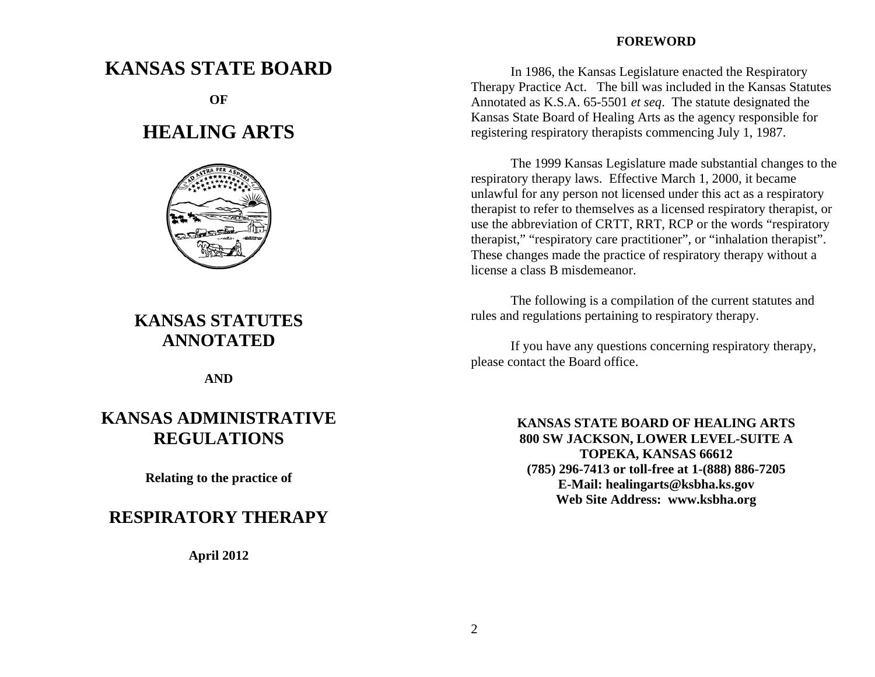#### **FOREWORD**

 In 1986, the Kansas Legislature enacted the Respiratory Therapy Practice Act. The bill was included in the Kansas Statutes Annotated as K.S.A. 65-5501 *et seq*. The statute designated the Kansas State Board of Healing Arts as the agency responsible for registering respiratory therapists commencing July 1, 1987.

 The 1999 Kansas Legislature made substantial changes to the respiratory therapy laws. Effective March 1, 2000, it became unlawful for any person not licensed under this act as a respiratory therapist to refer to themselves as a licensed respiratory therapist, or use the abbreviation of CRTT, RRT, RCP or the words "respiratory therapist," "respiratory care practitioner", or "inhalation therapist". These changes made the practice of respiratory therapy without a license a class B misdemeanor.

 The following is a compilation of the current statutes and rules and regulations pertaining to respiratory therapy.

 If you have any questions concerning respiratory therapy, please contact the Board office.

> **KANSAS STATE BOARD OF HEALING ARTS 800 SW JACKSON, LOWER LEVEL-SUITE A TOPEKA, KANSAS 66612 (785) 296-7413 or toll-free at 1-(888) 886-7205 E-Mail: healingarts@ksbha.ks.gov Web Site Address: www.ksbha.org**

# **KANSAS STATE BOARD**

**OF**

# **HEALING ARTS**



# **KANSAS STATUTES ANNOTATED**

**AND**

# **KANSAS ADMINISTRATIVE REGULATIONS**

**Relating to the practice of** 

## **RESPIRATORY THERAPY**

**April 2012**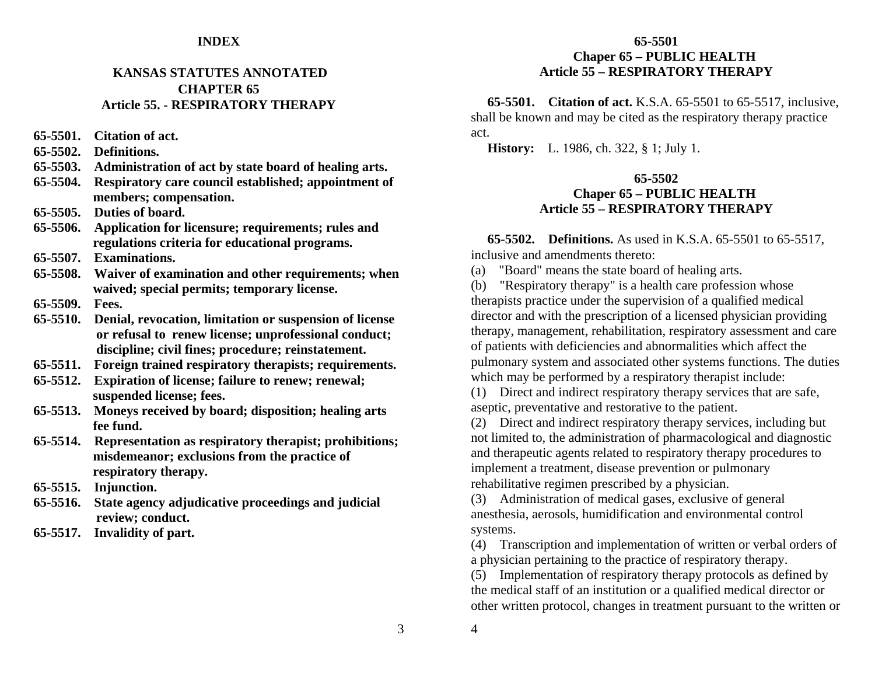#### **INDEX**

### **KANSAS STATUTES ANNOTATED CHAPTER 65Article 55. - RESPIRATORY THERAPY**

**65-5501. Citation of act.** 

- **65-5502. Definitions.**
- **65-5503. Administration of act by state board of healing arts.**
- **65-5504. Respiratory care council established; appointment of members; compensation.**
- **65-5505. Duties of board.**
- **65-5506. Application for licensure; requirements; rules and regulations criteria for educational programs.**
- **65-5507. Examinations.**
- **65-5508. Waiver of examination and other requirements; when waived; special permits; temporary license.**
- **65-5509. Fees.**
- **65-5510. Denial, revocation, limitation or suspension of license or refusal to renew license; unprofessional conduct; discipline; civil fines; procedure; reinstatement.**
- **65-5511. Foreign trained respiratory therapists; requirements.**
- **65-5512. Expiration of license; failure to renew; renewal; suspended license; fees.**
- **65-5513. Moneys received by board; disposition; healing arts fee fund.**
- **65-5514. Representation as respiratory therapist; prohibitions; misdemeanor; exclusions from the practice of respiratory therapy.**
- **65-5515. Injunction.**
- **65-5516. State agency adjudicative proceedings and judicial review; conduct.**
- **65-5517. Invalidity of part.**

### **65-5501 Chaper 65 – PUBLIC HEALTH Article 55 – RESPIRATORY THERAPY**

 **65-5501. Citation of act.** K.S.A. 65-5501 to 65-5517, inclusive, shall be known and may be cited as the respiratory therapy practice act.

 **History:** L. 1986, ch. 322, § 1; July 1.

#### **65-5502 Chaper 65 – PUBLIC HEALTH Article 55 – RESPIRATORY THERAPY**

 **65-5502. Definitions.** As used in K.S.A. 65-5501 to 65-5517, inclusive and amendments thereto:

(a) "Board" means the state board of healing arts.

(b) "Respiratory therapy" is a health care profession whose therapists practice under the supervision of a qualified medical director and with the prescription of a licensed physician providing therapy, management, rehabilitation, respiratory assessment and care of patients with deficiencies and abnormalities which affect the pulmonary system and associated other systems functions. The duties which may be performed by a respiratory therapist include:

(1) Direct and indirect respiratory therapy services that are safe, aseptic, preventative and restorative to the patient.

(2) Direct and indirect respiratory therapy services, including but not limited to, the administration of pharmacological and diagnostic and therapeutic agents related to respiratory therapy procedures to implement a treatment, disease prevention or pulmonary rehabilitative regimen prescribed by a physician.

(3) Administration of medical gases, exclusive of general anesthesia, aerosols, humidification and environmental control systems.

(4) Transcription and implementation of written or verbal orders of a physician pertaining to the practice of respiratory therapy.

(5) Implementation of respiratory therapy protocols as defined by the medical staff of an institution or a qualified medical director or other written protocol, changes in treatment pursuant to the written or

4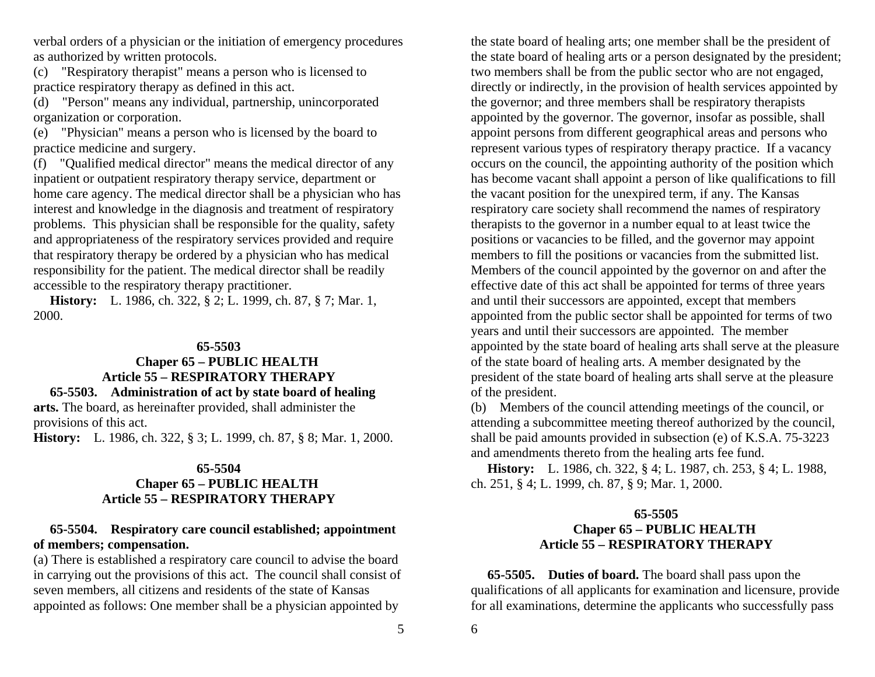verbal orders of a physician or the initiation of emergency procedures as authorized by written protocols.

(c) "Respiratory therapist" means a person who is licensed to practice respiratory therapy as defined in this act.

(d) "Person" means any individual, partnership, unincorporated organization or corporation.

(e) "Physician" means a person who is licensed by the board to practice medicine and surgery.

(f) "Qualified medical director" means the medical director of any inpatient or outpatient respiratory therapy service, department or home care agency. The medical director shall be a physician who has interest and knowledge in the diagnosis and treatment of respiratory problems. This physician shall be responsible for the quality, safety and appropriateness of the respiratory services provided and require that respiratory therapy be ordered by a physician who has medical responsibility for the patient. The medical director shall be readily accessible to the respiratory therapy practitioner.

 **History:** L. 1986, ch. 322, § 2; L. 1999, ch. 87, § 7; Mar. 1, 2000.

#### **65-5503**

#### **Chaper 65 – PUBLIC HEALTH Article 55 – RESPIRATORY THERAPY 65-5503. Administration of act by state board of healing**

**arts.** The board, as hereinafter provided, shall administer the provisions of this act.

**History:** L. 1986, ch. 322, § 3; L. 1999, ch. 87, § 8; Mar. 1, 2000.

#### **65-5504**

#### **Chaper 65 – PUBLIC HEALTH Article 55 – RESPIRATORY THERAPY**

#### **65-5504. Respiratory care council established; appointment of members; compensation.**

(a) There is established a respiratory care council to advise the board in carrying out the provisions of this act. The council shall consist of seven members, all citizens and residents of the state of Kansas appointed as follows: One member shall be a physician appointed by

the state board of healing arts; one member shall be the president of the state board of healing arts or a person designated by the president; two members shall be from the public sector who are not engaged, directly or indirectly, in the provision of health services appointed by the governor; and three members shall be respiratory therapists appointed by the governor. The governor, insofar as possible, shall appoint persons from different geographical areas and persons who represent various types of respiratory therapy practice. If a vacancy occurs on the council, the appointing authority of the position which has become vacant shall appoint a person of like qualifications to fill the vacant position for the unexpired term, if any. The Kansas respiratory care society shall recommend the names of respiratory therapists to the governor in a number equal to at least twice the positions or vacancies to be filled, and the governor may appoint members to fill the positions or vacancies from the submitted list. Members of the council appointed by the governor on and after the effective date of this act shall be appointed for terms of three years and until their successors are appointed, except that members appointed from the public sector shall be appointed for terms of two years and until their successors are appointed. The member appointed by the state board of healing arts shall serve at the pleasure of the state board of healing arts. A member designated by the president of the state board of healing arts shall serve at the pleasure of the president.

(b) Members of the council attending meetings of the council, or attending a subcommittee meeting thereof authorized by the council, shall be paid amounts provided in subsection (e) of K.S.A. 75-3223 and amendments thereto from the healing arts fee fund.

 **History:** L. 1986, ch. 322, § 4; L. 1987, ch. 253, § 4; L. 1988, ch. 251, § 4; L. 1999, ch. 87, § 9; Mar. 1, 2000.

#### **65-5505 Chaper 65 – PUBLIC HEALTH Article 55 – RESPIRATORY THERAPY**

 **65-5505. Duties of board.** The board shall pass upon the qualifications of all applicants for examination and licensure, provide for all examinations, determine the applicants who successfully pass

6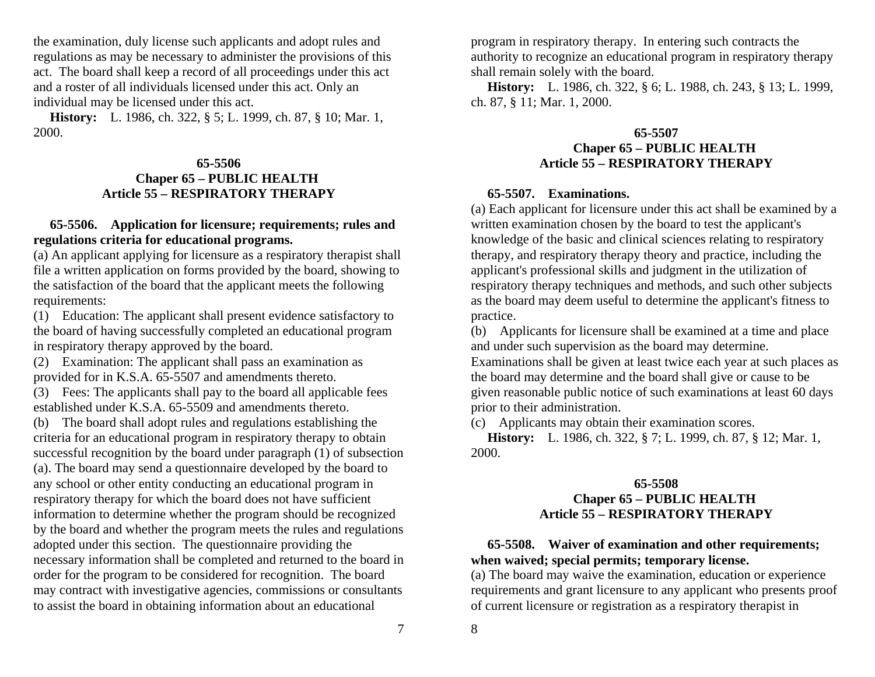the examination, duly license such applicants and adopt rules and regulations as may be necessary to administer the provisions of this act. The board shall keep a record of all proceedings under this act and a roster of all individuals licensed under this act. Only an individual may be licensed under this act.

 **History:** L. 1986, ch. 322, § 5; L. 1999, ch. 87, § 10; Mar. 1, 2000.

#### **65-5506 Chaper 65 – PUBLIC HEALTH Article 55 – RESPIRATORY THERAPY**

## **65-5506. Application for licensure; requirements; rules and regulations criteria for educational programs.**

(a) An applicant applying for licensure as a respiratory therapist shall file a written application on forms provided by the board, showing to the satisfaction of the board that the applicant meets the following requirements:

(1) Education: The applicant shall present evidence satisfactory to the board of having successfully completed an educational program in respiratory therapy approved by the board.

(2) Examination: The applicant shall pass an examination as provided for in K.S.A. 65-5507 and amendments thereto.

(3) Fees: The applicants shall pay to the board all applicable fees established under K.S.A. 65-5509 and amendments thereto.

(b) The board shall adopt rules and regulations establishing the criteria for an educational program in respiratory therapy to obtain successful recognition by the board under paragraph (1) of subsection (a). The board may send a questionnaire developed by the board to any school or other entity conducting an educational program in respiratory therapy for which the board does not have sufficient information to determine whether the program should be recognized by the board and whether the program meets the rules and regulations adopted under this section. The questionnaire providing the necessary information shall be completed and returned to the board in order for the program to be considered for recognition. The board may contract with investigative agencies, commissions or consultants to assist the board in obtaining information about an educational

program in respiratory therapy. In entering such contracts the authority to recognize an educational program in respiratory therapy shall remain solely with the board.

 **History:** L. 1986, ch. 322, § 6; L. 1988, ch. 243, § 13; L. 1999, ch. 87, § 11; Mar. 1, 2000.

### **65-5507 Chaper 65 – PUBLIC HEALTH Article 55 – RESPIRATORY THERAPY**

## **65-5507. Examinations.**

(a) Each applicant for licensure under this act shall be examined by a written examination chosen by the board to test the applicant's knowledge of the basic and clinical sciences relating to respiratory therapy, and respiratory therapy theory and practice, including the applicant's professional skills and judgment in the utilization of respiratory therapy techniques and methods, and such other subjects as the board may deem useful to determine the applicant's fitness to practice.

(b) Applicants for licensure shall be examined at a time and place and under such supervision as the board may determine.

Examinations shall be given at least twice each year at such places as the board may determine and the board shall give or cause to be given reasonable public notice of such examinations at least 60 days prior to their administration.

(c) Applicants may obtain their examination scores.

 **History:** L. 1986, ch. 322, § 7; L. 1999, ch. 87, § 12; Mar. 1, 2000.

## **65-5508 Chaper 65 – PUBLIC HEALTH Article 55 – RESPIRATORY THERAPY**

## **65-5508. Waiver of examination and other requirements; when waived; special permits; temporary license.**

(a) The board may waive the examination, education or experience requirements and grant licensure to any applicant who presents proof of current licensure or registration as a respiratory therapist in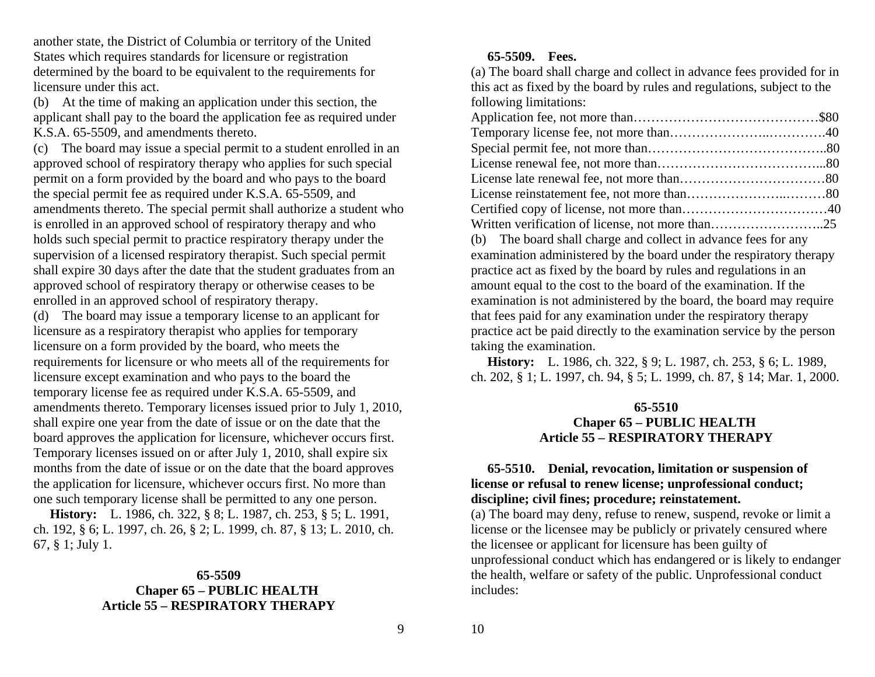another state, the District of Columbia or territory of the United States which requires standards for licensure or registration determined by the board to be equivalent to the requirements for licensure under this act.

(b) At the time of making an application under this section, the applicant shall pay to the board the application fee as required under K.S.A. 65-5509, and amendments thereto.

(c) The board may issue a special permit to a student enrolled in an approved school of respiratory therapy who applies for such special permit on a form provided by the board and who pays to the board the special permit fee as required under K.S.A. 65-5509, and amendments thereto. The special permit shall authorize a student who is enrolled in an approved school of respiratory therapy and who holds such special permit to practice respiratory therapy under the supervision of a licensed respiratory therapist. Such special permit shall expire 30 days after the date that the student graduates from an approved school of respiratory therapy or otherwise ceases to be enrolled in an approved school of respiratory therapy.

(d) The board may issue a temporary license to an applicant for licensure as a respiratory therapist who applies for temporary licensure on a form provided by the board, who meets the requirements for licensure or who meets all of the requirements for licensure except examination and who pays to the board the temporary license fee as required under K.S.A. 65-5509, and amendments thereto. Temporary licenses issued prior to July 1, 2010, shall expire one year from the date of issue or on the date that the board approves the application for licensure, whichever occurs first. Temporary licenses issued on or after July 1, 2010, shall expire six months from the date of issue or on the date that the board approves the application for licensure, whichever occurs first. No more than one such temporary license shall be permitted to any one person.

 **History:** L. 1986, ch. 322, § 8; L. 1987, ch. 253, § 5; L. 1991, ch. 192, § 6; L. 1997, ch. 26, § 2; L. 1999, ch. 87, § 13; L. 2010, ch. 67, § 1; July 1.

## **65-5509 Chaper 65 – PUBLIC HEALTH Article 55 – RESPIRATORY THERAPY**

## **65-5509. Fees.**

(a) The board shall charge and collect in advance fees provided for in this act as fixed by the board by rules and regulations, subject to the following limitations:

 **History:** L. 1986, ch. 322, § 9; L. 1987, ch. 253, § 6; L. 1989, ch. 202, § 1; L. 1997, ch. 94, § 5; L. 1999, ch. 87, § 14; Mar. 1, 2000.

#### **65-5510 Chaper 65 – PUBLIC HEALTH Article 55 – RESPIRATORY THERAPY**

## **65-5510. Denial, revocation, limitation or suspension of license or refusal to renew license; unprofessional conduct; discipline; civil fines; procedure; reinstatement.**

(a) The board may deny, refuse to renew, suspend, revoke or limit a license or the licensee may be publicly or privately censured where the licensee or applicant for licensure has been guilty of unprofessional conduct which has endangered or is likely to endanger the health, welfare or safety of the public. Unprofessional conduct includes:

9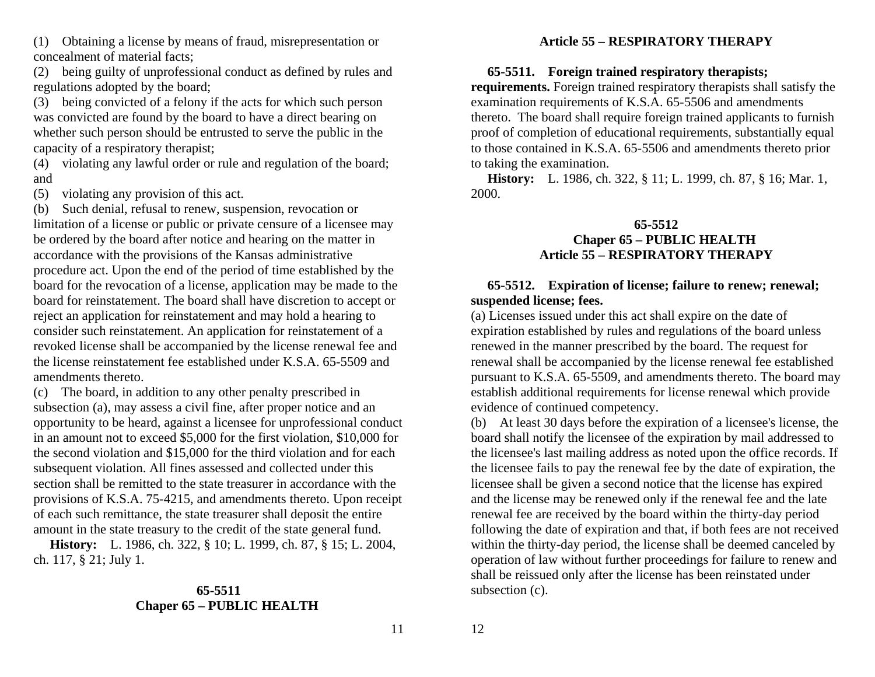(1) Obtaining a license by means of fraud, misrepresentation or concealment of material facts;

(2) being guilty of unprofessional conduct as defined by rules and regulations adopted by the board;

(3) being convicted of a felony if the acts for which such person was convicted are found by the board to have a direct bearing on whether such person should be entrusted to serve the public in the capacity of a respiratory therapist;

(4) violating any lawful order or rule and regulation of the board; and

(5) violating any provision of this act.

(b) Such denial, refusal to renew, suspension, revocation or limitation of a license or public or private censure of a licensee may be ordered by the board after notice and hearing on the matter in accordance with the provisions of the Kansas administrative procedure act. Upon the end of the period of time established by the board for the revocation of a license, application may be made to the board for reinstatement. The board shall have discretion to accept or reject an application for reinstatement and may hold a hearing to consider such reinstatement. An application for reinstatement of a revoked license shall be accompanied by the license renewal fee and the license reinstatement fee established under K.S.A. 65-5509 and amendments thereto.

(c) The board, in addition to any other penalty prescribed in subsection (a), may assess a civil fine, after proper notice and an opportunity to be heard, against a licensee for unprofessional conduct in an amount not to exceed \$5,000 for the first violation, \$10,000 for the second violation and \$15,000 for the third violation and for each subsequent violation. All fines assessed and collected under this section shall be remitted to the state treasurer in accordance with the provisions of K.S.A. 75-4215, and amendments thereto. Upon receipt of each such remittance, the state treasurer shall deposit the entire amount in the state treasury to the credit of the state general fund.

 **History:** L. 1986, ch. 322, § 10; L. 1999, ch. 87, § 15; L. 2004, ch. 117, § 21; July 1.

#### **65-5511 Chaper 65 – PUBLIC HEALTH**

## **Article 55 – RESPIRATORY THERAPY**

## **65-5511. Foreign trained respiratory therapists;**

**requirements.** Foreign trained respiratory therapists shall satisfy the examination requirements of K.S.A. 65-5506 and amendments thereto. The board shall require foreign trained applicants to furnish proof of completion of educational requirements, substantially equal to those contained in K.S.A. 65-5506 and amendments thereto prior to taking the examination.

 **History:** L. 1986, ch. 322, § 11; L. 1999, ch. 87, § 16; Mar. 1, 2000.

## **65-5512 Chaper 65 – PUBLIC HEALTH Article 55 – RESPIRATORY THERAPY**

## **65-5512. Expiration of license; failure to renew; renewal; suspended license; fees.**

(a) Licenses issued under this act shall expire on the date of expiration established by rules and regulations of the board unless renewed in the manner prescribed by the board. The request for renewal shall be accompanied by the license renewal fee established pursuant to K.S.A. 65-5509, and amendments thereto. The board may establish additional requirements for license renewal which provide evidence of continued competency.

(b) At least 30 days before the expiration of a licensee's license, the board shall notify the licensee of the expiration by mail addressed to the licensee's last mailing address as noted upon the office records. If the licensee fails to pay the renewal fee by the date of expiration, the licensee shall be given a second notice that the license has expired and the license may be renewed only if the renewal fee and the late renewal fee are received by the board within the thirty-day period following the date of expiration and that, if both fees are not received within the thirty-day period, the license shall be deemed canceled by operation of law without further proceedings for failure to renew and shall be reissued only after the license has been reinstated under subsection (c).

11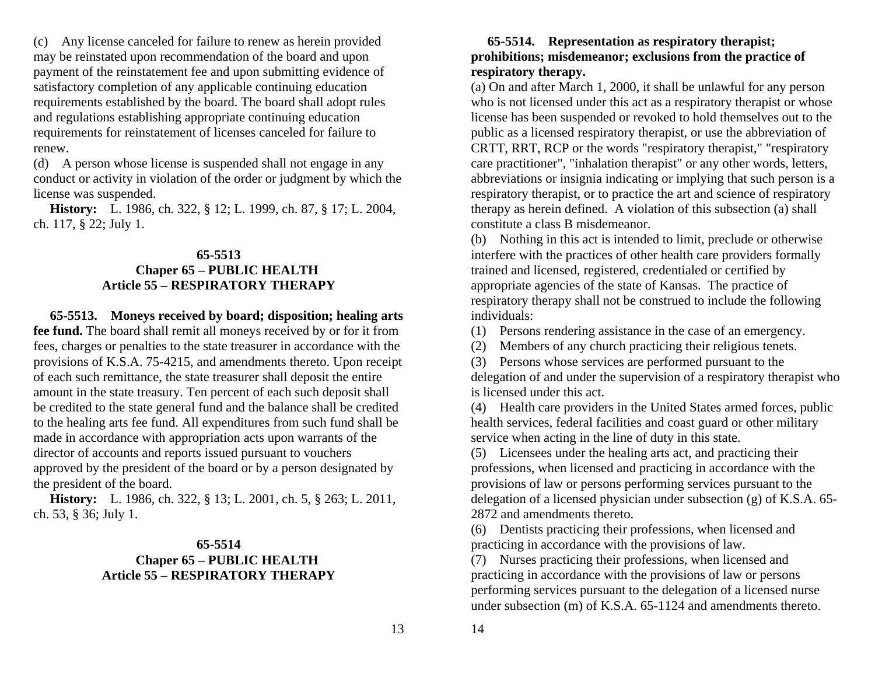(c) Any license canceled for failure to renew as herein provided may be reinstated upon recommendation of the board and upon payment of the reinstatement fee and upon submitting evidence of satisfactory completion of any applicable continuing education requirements established by the board. The board shall adopt rules and regulations establishing appropriate continuing education requirements for reinstatement of licenses canceled for failure to renew.

(d) A person whose license is suspended shall not engage in any conduct or activity in violation of the order or judgment by which the license was suspended.

 **History:** L. 1986, ch. 322, § 12; L. 1999, ch. 87, § 17; L. 2004, ch. 117, § 22; July 1.

#### **65-5513 Chaper 65 – PUBLIC HEALTH Article 55 – RESPIRATORY THERAPY**

 **65-5513. Moneys received by board; disposition; healing arts fee fund.** The board shall remit all moneys received by or for it from fees, charges or penalties to the state treasurer in accordance with the provisions of K.S.A. 75-4215, and amendments thereto. Upon receipt of each such remittance, the state treasurer shall deposit the entire amount in the state treasury. Ten percent of each such deposit shall be credited to the state general fund and the balance shall be credited to the healing arts fee fund. All expenditures from such fund shall be made in accordance with appropriation acts upon warrants of the director of accounts and reports issued pursuant to vouchers approved by the president of the board or by a person designated by the president of the board.

 **History:** L. 1986, ch. 322, § 13; L. 2001, ch. 5, § 263; L. 2011, ch. 53, § 36; July 1.

### **65-5514 Chaper 65 – PUBLIC HEALTH Article 55 – RESPIRATORY THERAPY**

### **65-5514. Representation as respiratory therapist; prohibitions; misdemeanor; exclusions from the practice of respiratory therapy.**

(a) On and after March 1, 2000, it shall be unlawful for any person who is not licensed under this act as a respiratory therapist or whose license has been suspended or revoked to hold themselves out to the public as a licensed respiratory therapist, or use the abbreviation of CRTT, RRT, RCP or the words "respiratory therapist," "respiratory care practitioner", "inhalation therapist" or any other words, letters, abbreviations or insignia indicating or implying that such person is a respiratory therapist, or to practice the art and science of respiratory therapy as herein defined. A violation of this subsection (a) shall constitute a class B misdemeanor.

(b) Nothing in this act is intended to limit, preclude or otherwise interfere with the practices of other health care providers formally trained and licensed, registered, credentialed or certified by appropriate agencies of the state of Kansas. The practice of respiratory therapy shall not be construed to include the following individuals:

(1) Persons rendering assistance in the case of an emergency.

(2) Members of any church practicing their religious tenets.

(3) Persons whose services are performed pursuant to the delegation of and under the supervision of a respiratory therapist who is licensed under this act.

(4) Health care providers in the United States armed forces, public health services, federal facilities and coast guard or other military service when acting in the line of duty in this state.

(5) Licensees under the healing arts act, and practicing their professions, when licensed and practicing in accordance with the provisions of law or persons performing services pursuant to the delegation of a licensed physician under subsection (g) of K.S.A. 65- 2872 and amendments thereto.

(6) Dentists practicing their professions, when licensed and practicing in accordance with the provisions of law.

(7) Nurses practicing their professions, when licensed and practicing in accordance with the provisions of law or persons performing services pursuant to the delegation of a licensed nurse under subsection (m) of K.S.A. 65-1124 and amendments thereto.

13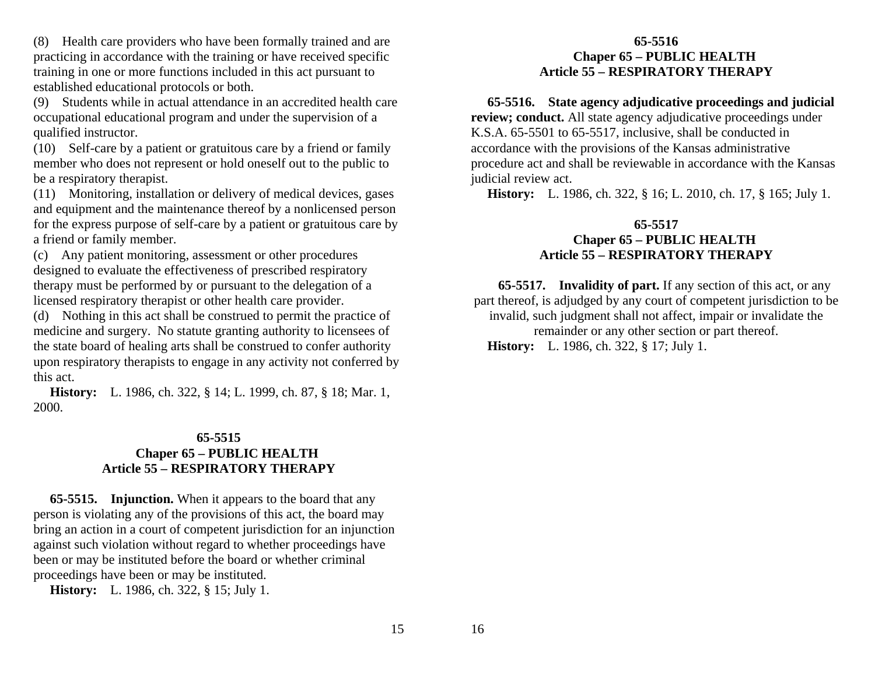(8) Health care providers who have been formally trained and are practicing in accordance with the training or have received specific training in one or more functions included in this act pursuant to established educational protocols or both.

(9) Students while in actual attendance in an accredited health care occupational educational program and under the supervision of a qualified instructor.

(10) Self-care by a patient or gratuitous care by a friend or family member who does not represent or hold oneself out to the public to be a respiratory therapist.

(11) Monitoring, installation or delivery of medical devices, gases and equipment and the maintenance thereof by a nonlicensed person for the express purpose of self-care by a patient or gratuitous care by a friend or family member.

(c) Any patient monitoring, assessment or other procedures designed to evaluate the effectiveness of prescribed respiratory therapy must be performed by or pursuant to the delegation of a licensed respiratory therapist or other health care provider.

(d) Nothing in this act shall be construed to permit the practice of medicine and surgery. No statute granting authority to licensees of the state board of healing arts shall be construed to confer authority upon respiratory therapists to engage in any activity not conferred by this act.

 **History:** L. 1986, ch. 322, § 14; L. 1999, ch. 87, § 18; Mar. 1, 2000.

#### **65-5515 Chaper 65 – PUBLIC HEALTH Article 55 – RESPIRATORY THERAPY**

 **65-5515. Injunction.** When it appears to the board that any person is violating any of the provisions of this act, the board may bring an action in a court of competent jurisdiction for an injunction against such violation without regard to whether proceedings have been or may be instituted before the board or whether criminal proceedings have been or may be instituted.

 **History:** L. 1986, ch. 322, § 15; July 1.

## **65-5516 Chaper 65 – PUBLIC HEALTH Article 55 – RESPIRATORY THERAPY**

 **65-5516. State agency adjudicative proceedings and judicial review; conduct.** All state agency adjudicative proceedings under K.S.A. 65-5501 to 65-5517, inclusive, shall be conducted in accordance with the provisions of the Kansas administrative procedure act and shall be reviewable in accordance with the Kansas judicial review act.

 **History:** L. 1986, ch. 322, § 16; L. 2010, ch. 17, § 165; July 1.

## **65-5517 Chaper 65 – PUBLIC HEALTH Article 55 – RESPIRATORY THERAPY**

 **65-5517. Invalidity of part.** If any section of this act, or any part thereof, is adjudged by any court of competent jurisdiction to be invalid, such judgment shall not affect, impair or invalidate the remainder or any other section or part thereof.  **History:** L. 1986, ch. 322, § 17; July 1.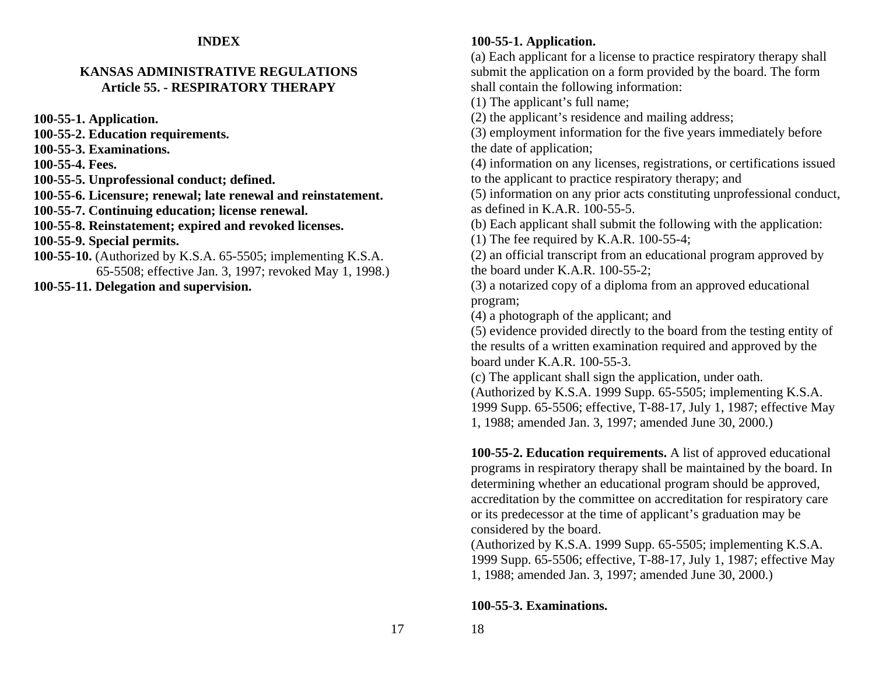#### **INDEX**

#### **KANSAS ADMINISTRATIVE REGULATIONSArticle 55. - RESPIRATORY THERAPY**

**100-55-1. Application.**

**100-55-2. Education requirements.** 

**100-55-3. Examinations.** 

**100-55-4. Fees.** 

**100-55-5. Unprofessional conduct; defined.** 

**100-55-6. Licensure; renewal; late renewal and reinstatement.**

**100-55-7. Continuing education; license renewal.**

**100-55-8. Reinstatement; expired and revoked licenses.**

**100-55-9. Special permits.**

**100-55-10.** (Authorized by K.S.A. 65-5505; implementing K.S.A. 65-5508; effective Jan. 3, 1997; revoked May 1, 1998.)

**100-55-11. Delegation and supervision.** 

## **100-55-1. Application.**

(a) Each applicant for a license to practice respiratory therapy shall submit the application on a form provided by the board. The form shall contain the following information:

(1) The applicant's full name;

(2) the applicant's residence and mailing address;

(3) employment information for the five years immediately before the date of application;

(4) information on any licenses, registrations, or certifications issued to the applicant to practice respiratory therapy; and

(5) information on any prior acts constituting unprofessional conduct, as defined in K.A.R. 100-55-5.

(b) Each applicant shall submit the following with the application:

(1) The fee required by K.A.R. 100-55-4;

(2) an official transcript from an educational program approved by the board under K.A.R. 100-55-2;

(3) a notarized copy of a diploma from an approved educational program;

(4) a photograph of the applicant; and

(5) evidence provided directly to the board from the testing entity of the results of a written examination required and approved by the board under K.A.R. 100-55-3.

(c) The applicant shall sign the application, under oath.

(Authorized by K.S.A. 1999 Supp. 65-5505; implementing K.S.A. 1999 Supp. 65-5506; effective, T-88-17, July 1, 1987; effective May 1, 1988; amended Jan. 3, 1997; amended June 30, 2000.)

**100-55-2. Education requirements.** A list of approved educational programs in respiratory therapy shall be maintained by the board. In determining whether an educational program should be approved, accreditation by the committee on accreditation for respiratory care or its predecessor at the time of applicant's graduation may be considered by the board.

(Authorized by K.S.A. 1999 Supp. 65-5505; implementing K.S.A. 1999 Supp. 65-5506; effective, T-88-17, July 1, 1987; effective May 1, 1988; amended Jan. 3, 1997; amended June 30, 2000.)

**100-55-3. Examinations.**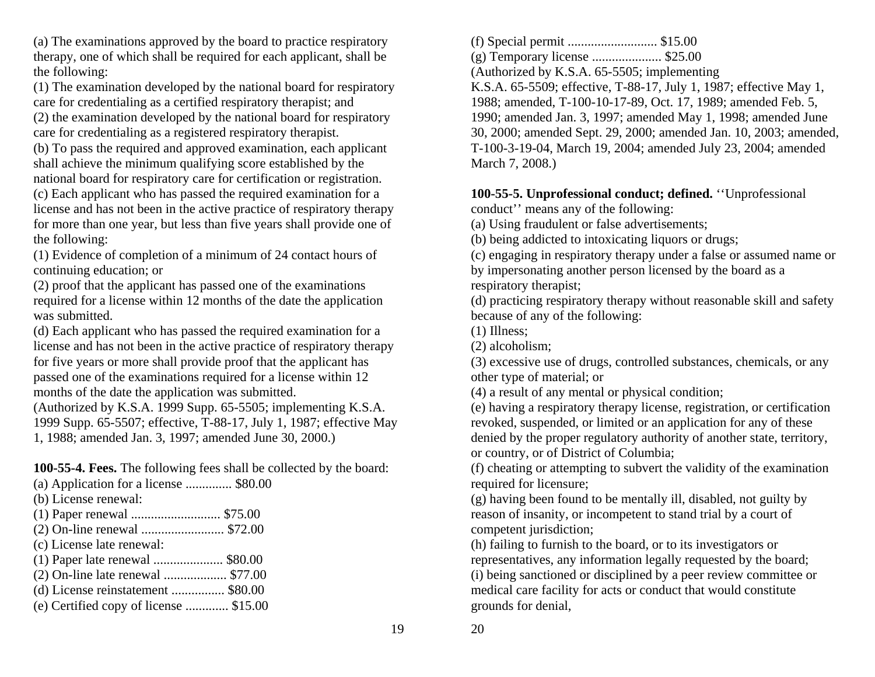(a) The examinations approved by the board to practice respiratory therapy, one of which shall be required for each applicant, shall be the following:

(1) The examination developed by the national board for respiratory care for credentialing as a certified respiratory therapist; and

(2) the examination developed by the national board for respiratory care for credentialing as a registered respiratory therapist.

(b) To pass the required and approved examination, each applicant shall achieve the minimum qualifying score established by the national board for respiratory care for certification or registration. (c) Each applicant who has passed the required examination for a license and has not been in the active practice of respiratory therapy for more than one year, but less than five years shall provide one of the following:

(1) Evidence of completion of a minimum of 24 contact hours of continuing education; or

(2) proof that the applicant has passed one of the examinations required for a license within 12 months of the date the application was submitted.

(d) Each applicant who has passed the required examination for a license and has not been in the active practice of respiratory therapy for five years or more shall provide proof that the applicant has passed one of the examinations required for a license within 12 months of the date the application was submitted.

(Authorized by K.S.A. 1999 Supp. 65-5505; implementing K.S.A. 1999 Supp. 65-5507; effective, T-88-17, July 1, 1987; effective May 1, 1988; amended Jan. 3, 1997; amended June 30, 2000.)

**100-55-4. Fees.** The following fees shall be collected by the board:

- (a) Application for a license .............. \$80.00
- (b) License renewal:
- (1) Paper renewal ........................... \$75.00
- (2) On-line renewal ......................... \$72.00
- (c) License late renewal:
- (1) Paper late renewal ..................... \$80.00
- (2) On-line late renewal ................... \$77.00
- (d) License reinstatement ................ \$80.00
- (e) Certified copy of license ............. \$15.00

(f) Special permit ........................... \$15.00

(g) Temporary license ..................... \$25.00

(Authorized by K.S.A. 65-5505; implementing

K.S.A. 65-5509; effective, T-88-17, July 1, 1987; effective May 1, 1988; amended, T-100-10-17-89, Oct. 17, 1989; amended Feb. 5, 1990; amended Jan. 3, 1997; amended May 1, 1998; amended June 30, 2000; amended Sept. 29, 2000; amended Jan. 10, 2003; amended, T-100-3-19-04, March 19, 2004; amended July 23, 2004; amended March 7, 2008.)

# **100-55-5. Unprofessional conduct; defined.** ''Unprofessional

conduct'' means any of the following:

(a) Using fraudulent or false advertisements;

(b) being addicted to intoxicating liquors or drugs;

(c) engaging in respiratory therapy under a false or assumed name or by impersonating another person licensed by the board as a respiratory therapist;

(d) practicing respiratory therapy without reasonable skill and safety because of any of the following:

(1) Illness;

(2) alcoholism;

(3) excessive use of drugs, controlled substances, chemicals, or any other type of material; or

(4) a result of any mental or physical condition;

(e) having a respiratory therapy license, registration, or certification revoked, suspended, or limited or an application for any of these denied by the proper regulatory authority of another state, territory, or country, or of District of Columbia;

(f) cheating or attempting to subvert the validity of the examination required for licensure;

(g) having been found to be mentally ill, disabled, not guilty by reason of insanity, or incompetent to stand trial by a court of competent jurisdiction;

(h) failing to furnish to the board, or to its investigators or representatives, any information legally requested by the board; (i) being sanctioned or disciplined by a peer review committee or medical care facility for acts or conduct that would constitute grounds for denial,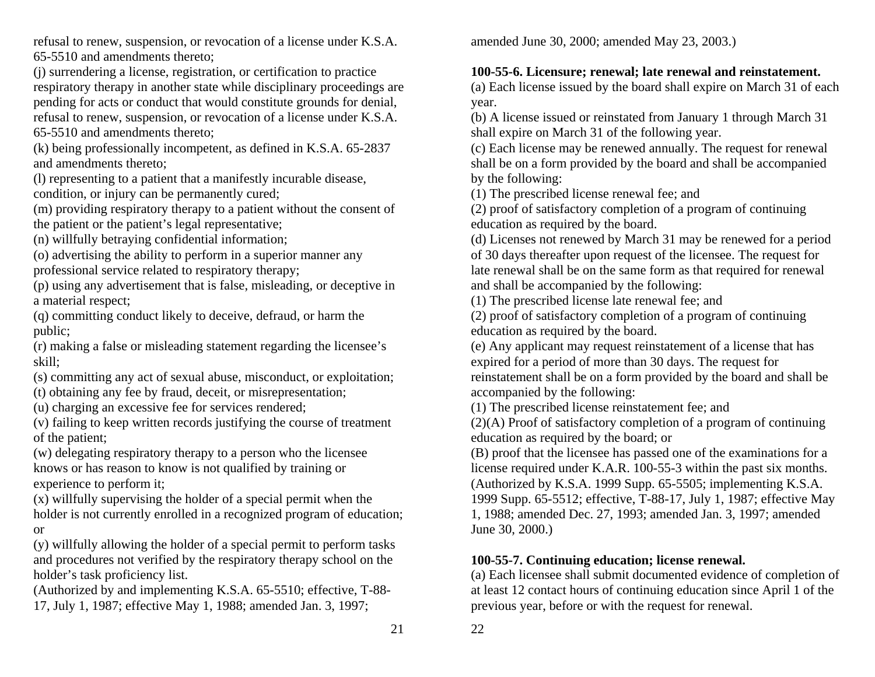refusal to renew, suspension, or revocation of a license under K.S.A. 65-5510 and amendments thereto;

(j) surrendering a license, registration, or certification to practice respiratory therapy in another state while disciplinary proceedings are pending for acts or conduct that would constitute grounds for denial, refusal to renew, suspension, or revocation of a license under K.S.A. 65-5510 and amendments thereto;

(k) being professionally incompetent, as defined in K.S.A. 65-2837 and amendments thereto;

(l) representing to a patient that a manifestly incurable disease,

condition, or injury can be permanently cured;

(m) providing respiratory therapy to a patient without the consent of the patient or the patient's legal representative;

(n) willfully betraying confidential information;

(o) advertising the ability to perform in a superior manner any professional service related to respiratory therapy;

(p) using any advertisement that is false, misleading, or deceptive in a material respect;

(q) committing conduct likely to deceive, defraud, or harm the public;

(r) making a false or misleading statement regarding the licensee's skill;

(s) committing any act of sexual abuse, misconduct, or exploitation;

(t) obtaining any fee by fraud, deceit, or misrepresentation;

(u) charging an excessive fee for services rendered;

(v) failing to keep written records justifying the course of treatment of the patient;

(w) delegating respiratory therapy to a person who the licensee knows or has reason to know is not qualified by training or experience to perform it;

(x) willfully supervising the holder of a special permit when the holder is not currently enrolled in a recognized program of education; or

(y) willfully allowing the holder of a special permit to perform tasks and procedures not verified by the respiratory therapy school on the holder's task proficiency list.

(Authorized by and implementing K.S.A. 65-5510; effective, T-88- 17, July 1, 1987; effective May 1, 1988; amended Jan. 3, 1997;

amended June 30, 2000; amended May 23, 2003.)

## **100-55-6. Licensure; renewal; late renewal and reinstatement.**

(a) Each license issued by the board shall expire on March 31 of each year.

(b) A license issued or reinstated from January 1 through March 31 shall expire on March 31 of the following year.

(c) Each license may be renewed annually. The request for renewal shall be on a form provided by the board and shall be accompanied by the following:

(1) The prescribed license renewal fee; and

(2) proof of satisfactory completion of a program of continuing education as required by the board.

(d) Licenses not renewed by March 31 may be renewed for a period of 30 days thereafter upon request of the licensee. The request for late renewal shall be on the same form as that required for renewal and shall be accompanied by the following:

(1) The prescribed license late renewal fee; and

(2) proof of satisfactory completion of a program of continuing education as required by the board.

(e) Any applicant may request reinstatement of a license that has expired for a period of more than 30 days. The request for reinstatement shall be on a form provided by the board and shall be accompanied by the following:

(1) The prescribed license reinstatement fee; and

(2)(A) Proof of satisfactory completion of a program of continuing education as required by the board; or

(B) proof that the licensee has passed one of the examinations for a license required under K.A.R. 100-55-3 within the past six months. (Authorized by K.S.A. 1999 Supp. 65-5505; implementing K.S.A. 1999 Supp. 65-5512; effective, T-88-17, July 1, 1987; effective May 1, 1988; amended Dec. 27, 1993; amended Jan. 3, 1997; amended June 30, 2000.)

## **100-55-7. Continuing education; license renewal.**

(a) Each licensee shall submit documented evidence of completion of at least 12 contact hours of continuing education since April 1 of the previous year, before or with the request for renewal.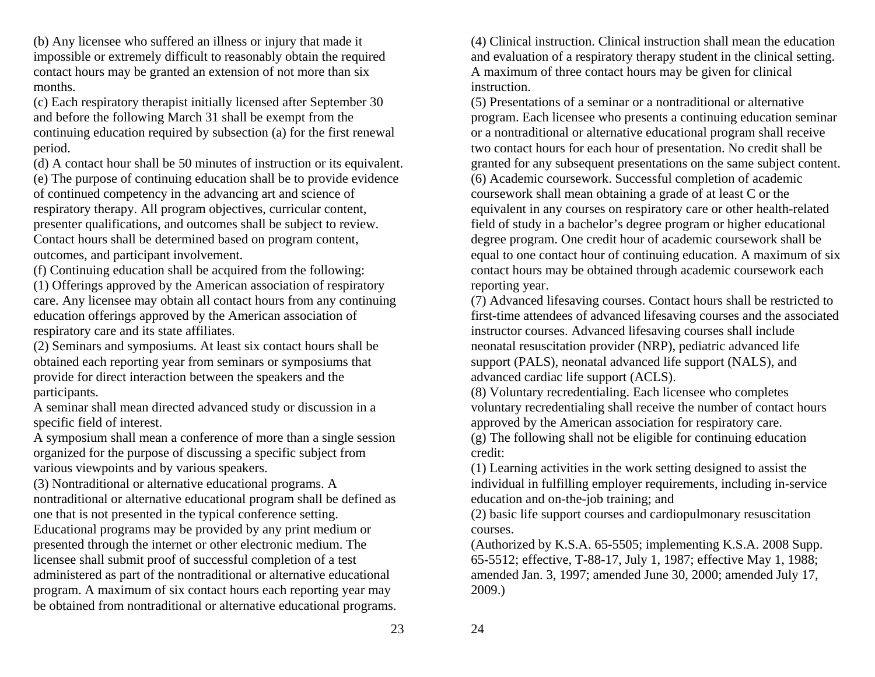(b) Any licensee who suffered an illness or injury that made it impossible or extremely difficult to reasonably obtain the required contact hours may be granted an extension of not more than six months.

(c) Each respiratory therapist initially licensed after September 30 and before the following March 31 shall be exempt from the continuing education required by subsection (a) for the first renewal period.

(d) A contact hour shall be 50 minutes of instruction or its equivalent. (e) The purpose of continuing education shall be to provide evidence of continued competency in the advancing art and science of respiratory therapy. All program objectives, curricular content, presenter qualifications, and outcomes shall be subject to review. Contact hours shall be determined based on program content, outcomes, and participant involvement.

(f) Continuing education shall be acquired from the following:

(1) Offerings approved by the American association of respiratory care. Any licensee may obtain all contact hours from any continuing education offerings approved by the American association of respiratory care and its state affiliates.

(2) Seminars and symposiums. At least six contact hours shall be obtained each reporting year from seminars or symposiums that provide for direct interaction between the speakers and the participants.

A seminar shall mean directed advanced study or discussion in a specific field of interest.

A symposium shall mean a conference of more than a single session organized for the purpose of discussing a specific subject from various viewpoints and by various speakers.

(3) Nontraditional or alternative educational programs. A nontraditional or alternative educational program shall be defined as one that is not presented in the typical conference setting.

Educational programs may be provided by any print medium or presented through the internet or other electronic medium. The licensee shall submit proof of successful completion of a test administered as part of the nontraditional or alternative educational program. A maximum of six contact hours each reporting year may be obtained from nontraditional or alternative educational programs. (4) Clinical instruction. Clinical instruction shall mean the education and evaluation of a respiratory therapy student in the clinical setting. A maximum of three contact hours may be given for clinical instruction.

(5) Presentations of a seminar or a nontraditional or alternative program. Each licensee who presents a continuing education seminar or a nontraditional or alternative educational program shall receive two contact hours for each hour of presentation. No credit shall be granted for any subsequent presentations on the same subject content. (6) Academic coursework. Successful completion of academic coursework shall mean obtaining a grade of at least C or the equivalent in any courses on respiratory care or other health-related field of study in a bachelor's degree program or higher educational degree program. One credit hour of academic coursework shall be equal to one contact hour of continuing education. A maximum of six contact hours may be obtained through academic coursework each reporting year.

(7) Advanced lifesaving courses. Contact hours shall be restricted to first-time attendees of advanced lifesaving courses and the associated instructor courses. Advanced lifesaving courses shall include neonatal resuscitation provider (NRP), pediatric advanced life support (PALS), neonatal advanced life support (NALS), and advanced cardiac life support (ACLS).

(8) Voluntary recredentialing. Each licensee who completes voluntary recredentialing shall receive the number of contact hours approved by the American association for respiratory care.

(g) The following shall not be eligible for continuing education credit:

(1) Learning activities in the work setting designed to assist the individual in fulfilling employer requirements, including in-service education and on-the-job training; and

(2) basic life support courses and cardiopulmonary resuscitation courses.

(Authorized by K.S.A. 65-5505; implementing K.S.A. 2008 Supp. 65-5512; effective, T-88-17, July 1, 1987; effective May 1, 1988; amended Jan. 3, 1997; amended June 30, 2000; amended July 17, 2009.)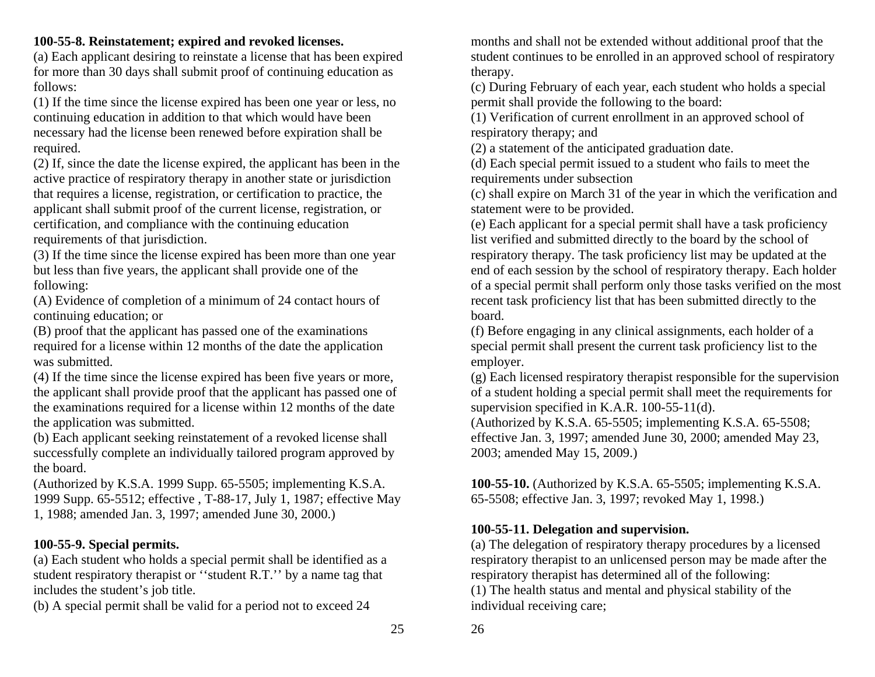## **100-55-8. Reinstatement; expired and revoked licenses.**

(a) Each applicant desiring to reinstate a license that has been expired for more than 30 days shall submit proof of continuing education as follows:

(1) If the time since the license expired has been one year or less, no continuing education in addition to that which would have been necessary had the license been renewed before expiration shall be required.

(2) If, since the date the license expired, the applicant has been in the active practice of respiratory therapy in another state or jurisdiction that requires a license, registration, or certification to practice, the applicant shall submit proof of the current license, registration, or certification, and compliance with the continuing education requirements of that jurisdiction.

(3) If the time since the license expired has been more than one year but less than five years, the applicant shall provide one of the following:

(A) Evidence of completion of a minimum of 24 contact hours of continuing education; or

(B) proof that the applicant has passed one of the examinations required for a license within 12 months of the date the application was submitted.

(4) If the time since the license expired has been five years or more, the applicant shall provide proof that the applicant has passed one of the examinations required for a license within 12 months of the date the application was submitted.

(b) Each applicant seeking reinstatement of a revoked license shall successfully complete an individually tailored program approved by the board.

(Authorized by K.S.A. 1999 Supp. 65-5505; implementing K.S.A. 1999 Supp. 65-5512; effective , T-88-17, July 1, 1987; effective May 1, 1988; amended Jan. 3, 1997; amended June 30, 2000.)

## **100-55-9. Special permits.**

(a) Each student who holds a special permit shall be identified as a student respiratory therapist or ''student R.T.'' by a name tag that includes the student's job title.

(b) A special permit shall be valid for a period not to exceed 24

months and shall not be extended without additional proof that the student continues to be enrolled in an approved school of respiratory therapy.

(c) During February of each year, each student who holds a special permit shall provide the following to the board:

(1) Verification of current enrollment in an approved school of respiratory therapy; and

(2) a statement of the anticipated graduation date.

(d) Each special permit issued to a student who fails to meet the requirements under subsection

(c) shall expire on March 31 of the year in which the verification and statement were to be provided.

(e) Each applicant for a special permit shall have a task proficiency list verified and submitted directly to the board by the school of respiratory therapy. The task proficiency list may be updated at the end of each session by the school of respiratory therapy. Each holder of a special permit shall perform only those tasks verified on the most recent task proficiency list that has been submitted directly to the board.

(f) Before engaging in any clinical assignments, each holder of a special permit shall present the current task proficiency list to the employer.

(g) Each licensed respiratory therapist responsible for the supervision of a student holding a special permit shall meet the requirements for supervision specified in K.A.R. 100-55-11(d).

(Authorized by K.S.A. 65-5505; implementing K.S.A. 65-5508; effective Jan. 3, 1997; amended June 30, 2000; amended May 23, 2003; amended May 15, 2009.)

**100-55-10.** (Authorized by K.S.A. 65-5505; implementing K.S.A. 65-5508; effective Jan. 3, 1997; revoked May 1, 1998.)

## **100-55-11. Delegation and supervision.**

(a) The delegation of respiratory therapy procedures by a licensed respiratory therapist to an unlicensed person may be made after the respiratory therapist has determined all of the following: (1) The health status and mental and physical stability of the individual receiving care;

25